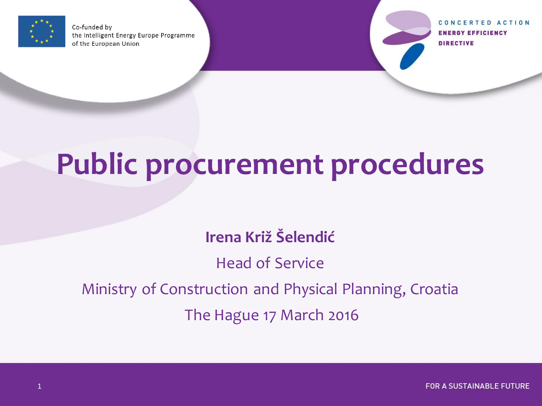

Co-funded by the Intelligent Energy Europe Programme of the European Union

CONCERTED ACTION **ENERGY EFFICIENCY DIRECTIVE** 

# **Public procurement procedures**

**Irena Križ Šelendić**

Head of Service

Ministry of Construction and Physical Planning, Croatia

The Hague 17 March 2016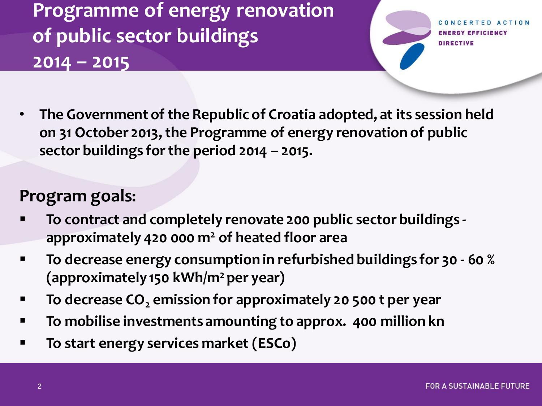**Programme of energy renovation of public sector buildings 2014 – 2015** 

RGY EFFICIENCY **DIRECTIVE** 

• **The Government of the Republic of Croatia adopted, at its session held on 31 October 2013, the Programme of energy renovation of public sector buildings for the period 2014 – 2015.**

#### **Program goals:**

- **To contract and completely renovate 200 public sector buildings approximately 420 000 m<sup>2</sup> of heated floor area**
- **To decrease energy consumption in refurbished buildings for 30 - 60 % (approximately 150 kWh/m<sup>2</sup>per year)**
- **To decrease CO<sup>2</sup> emission for approximately 20 500 t per year**
- **To mobilise investments amounting to approx. 400 million kn**
- **To start energy services market (ESCo)**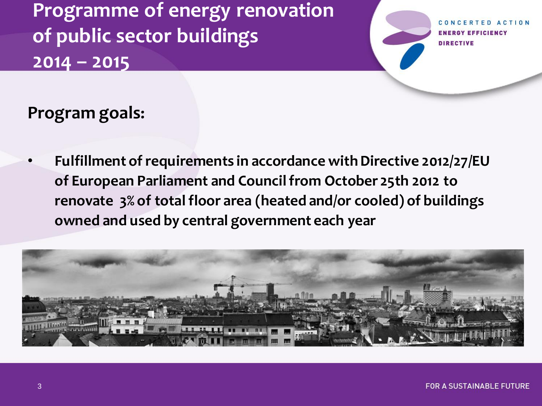**Programme of energy renovation of public sector buildings 2014 – 2015** 

**FRTED ACTION ENERGY EFFICIENCY DIRECTIVE** 

**Program goals:**

• **Fulfillment of requirements in accordance with Directive 2012/27/EU of European Parliament and Council from October 25th 2012 to renovate 3% of total floor area (heated and/or cooled) of buildings owned and used by central government each year** 

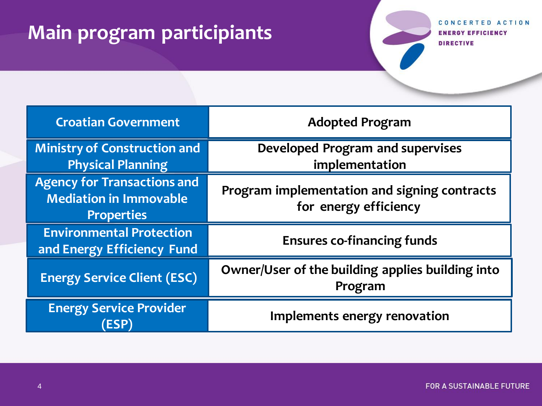# **Main program participiants**

| <b>Croatian Government</b>                                                               | <b>Adopted Program</b>                                                |  |
|------------------------------------------------------------------------------------------|-----------------------------------------------------------------------|--|
| <b>Ministry of Construction and</b><br><b>Physical Planning</b>                          | <b>Developed Program and supervises</b><br>implementation             |  |
| <b>Agency for Transactions and</b><br><b>Mediation in Immovable</b><br><b>Properties</b> | Program implementation and signing contracts<br>for energy efficiency |  |
| <b>Environmental Protection</b><br>and Energy Efficiency Fund                            | <b>Ensures co-financing funds</b>                                     |  |
| <b>Energy Service Client (ESC)</b>                                                       | Owner/User of the building applies building into<br>Program           |  |
| <b>Energy Service Provider</b><br><b>ESP)</b>                                            | Implements energy renovation                                          |  |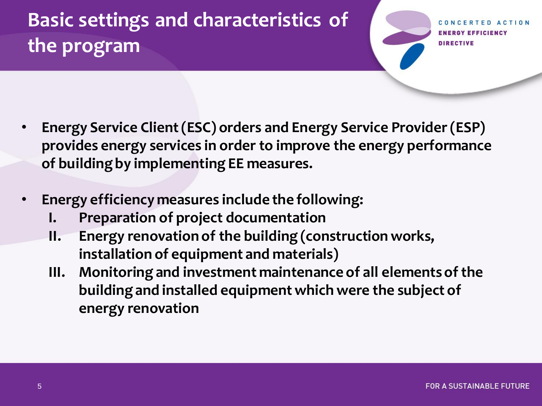# **Basic settings and characteristics of the program**

**RGY EFFICIENCY DIRECTIVE** 

- **Energy Service Client (ESC) orders and Energy Service Provider (ESP) provides energy services in order to improve the energy performance of building by implementing EE measures.**
- **Energy efficiency measures include the following:** 
	- **I. Preparation of project documentation**
	- **II. Energy renovation of the building (construction works, installation of equipment and materials)**
	- **III. Monitoring and investment maintenance of all elements of the building and installed equipment which were the subject of energy renovation**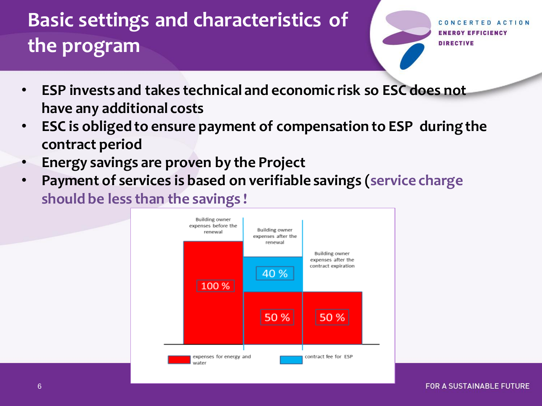# **Basic settings and characteristics of the program**

- **ESP invests and takes technical and economic risk so ESC does not have any additional costs**
- **ESC is obliged to ensure payment of compensation to ESP during the contract period**
- **Energy savings are proven by the Project**
- **Payment of services is based on verifiable savings (service charge should be less than the savings !**

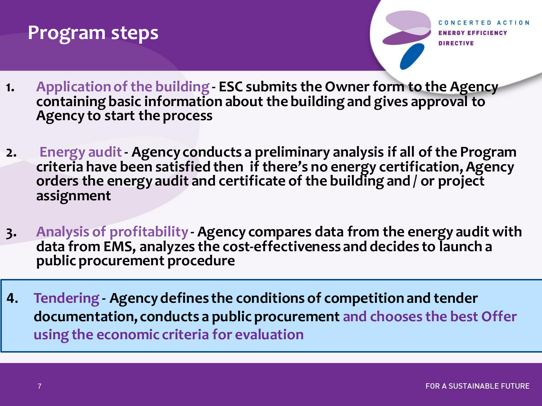## **Program steps**

- **1. Application of the building - ESC submits the Owner form to the Agency containing basic information about the building and gives approval to Agency to start the process**
- **2. Energy audit - Agency conducts a preliminary analysis if all of the Program criteria have been satisfied then if there's no energy certification, Agency orders the energy audit and certificate of the building and / or project assignment**
- **3. Analysis of profitability - Agency compares data from the energy audit with data from EMS, analyzes the cost-effectiveness and decides to launch a public procurement procedure**
- **4. Tendering - Agency defines the conditions of competition and tender documentation, conducts a public procurement and chooses the best Offer using the economic criteria for evaluation**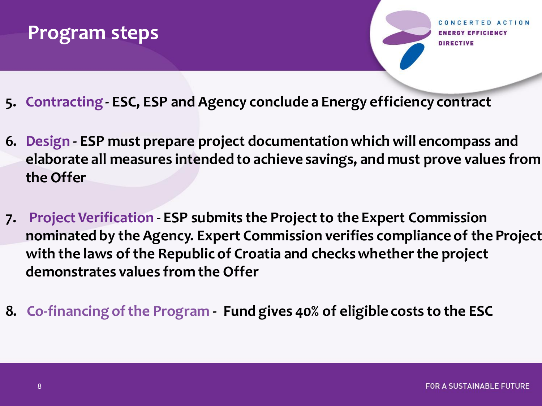#### **Program steps**

ERTED ACTION GY EFFICIENCY

- **5. Contracting - ESC, ESP and Agency conclude a Energy efficiency contract**
- **6. Design - ESP must prepare project documentation which will encompass and elaborate all measures intended to achieve savings, and must prove values from the Offer**
- **7. Project Verification ESP submits the Project to the Expert Commission nominated by the Agency. Expert Commission verifies compliance of the Project with the laws of the Republic of Croatia and checks whether the project demonstrates values from the Offer**
- **8. Co-financing of the Program Fund gives 40% of eligible costs to the ESC**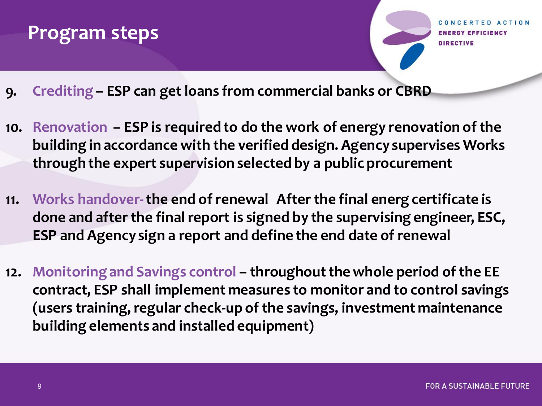#### **Program steps**

Y EFFICIENCY

- **9. Crediting – ESP can get loans from commercial banks or CBRD**
- **10. Renovation – ESP is required to do the work of energy renovation of the building in accordance with the verified design. Agency supervises Works through the expert supervision selected by a public procurement**
- **11. Works handover-the end of renewal After the final energ certificate is done and after the final report is signed by the supervising engineer, ESC, ESP and Agency sign a report and define the end date of renewal**
- **12. Monitoring and Savings control – throughoutthe whole period of the EE contract, ESP shall implement measures to monitor and to control savings (users training, regular check-up of the savings, investment maintenance building elements and installed equipment)**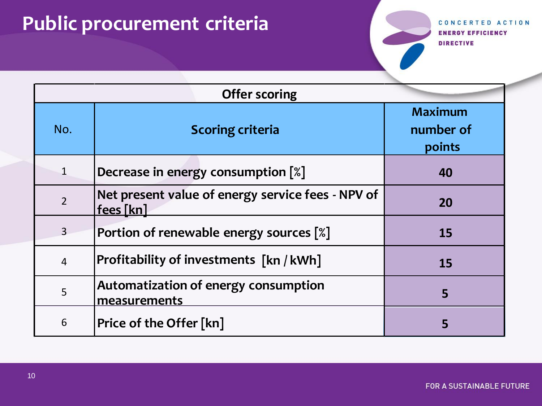# **Public procurement criteria**

| <b>Offer scoring</b> |                                                                |                                       |  |  |
|----------------------|----------------------------------------------------------------|---------------------------------------|--|--|
| No.                  | <b>Scoring criteria</b>                                        | <b>Maximum</b><br>number of<br>points |  |  |
| $\mathbf{1}$         | Decrease in energy consumption [%]                             | 40                                    |  |  |
| $\overline{2}$       | Net present value of energy service fees - NPV of<br>fees [kn] | 20                                    |  |  |
| $\overline{3}$       | Portion of renewable energy sources [%]                        | <b>15</b>                             |  |  |
| $\overline{4}$       | <b>Profitability of investments [kn / kWh]</b>                 | <b>15</b>                             |  |  |
| 5                    | Automatization of energy consumption<br>measurements           | 5                                     |  |  |
| 6                    | Price of the Offer [kn]                                        |                                       |  |  |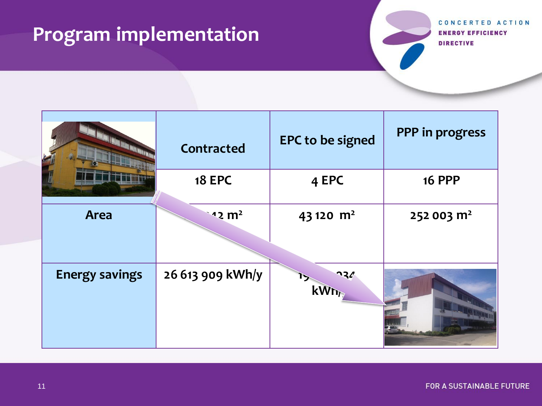# **Program implementation**

|                       | <b>Contracted</b> | <b>EPC to be signed</b> | PPP in progress        |
|-----------------------|-------------------|-------------------------|------------------------|
|                       | <b>18 EPC</b>     | 4 EPC                   | <b>16 PPP</b>          |
| <b>Area</b>           | $12 \text{ m}^2$  | 43 120 $m2$             | 252 003 m <sup>2</sup> |
| <b>Energy savings</b> | 26 613 909 kWh/y  | $\mathbf{R}$<br>kWh     |                        |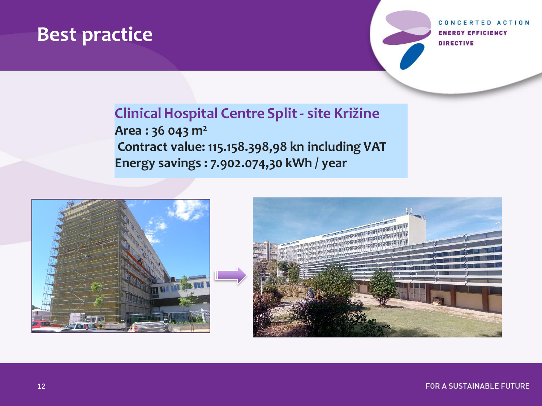## **Best practice**

CONCERTED ACTION **ENERGY EFFICIENCY DIRECTIVE** 

#### **Clinical Hospital Centre Split - site Križine Area : 36 043 m<sup>2</sup> Contract value: 115.158.398,98 kn including VAT Energy savings : 7.902.074,30 kWh / year**